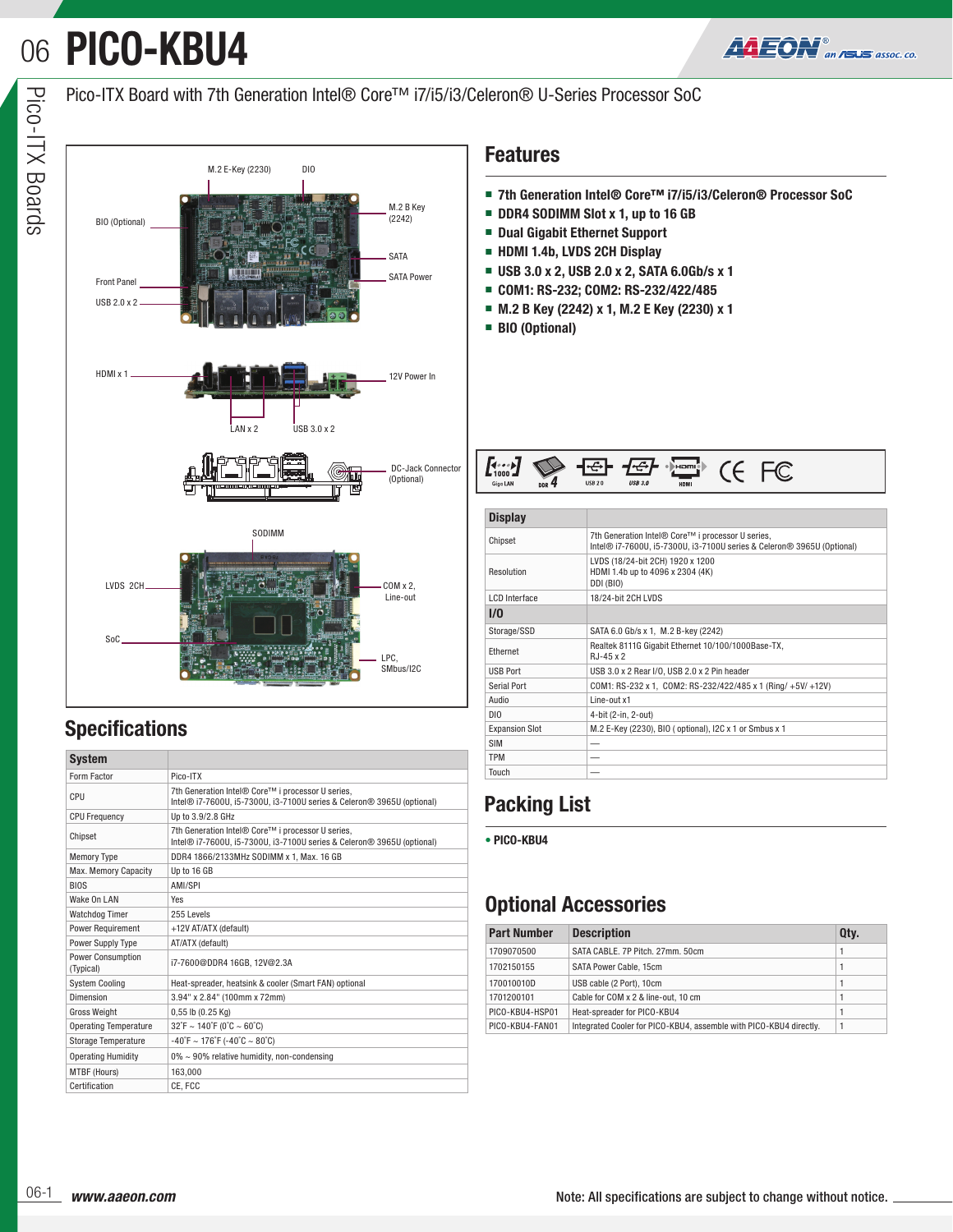# **PICO-KBU4** 06



### Pico-ITX Board with 7th Generation Intel® Core™ i7/i5/i3/Celeron® U-Series Processor SoC



## **Specifications**

| System                                |                                                                                                                             |  |  |  |  |  |
|---------------------------------------|-----------------------------------------------------------------------------------------------------------------------------|--|--|--|--|--|
| Form Factor                           | Pico-ITX                                                                                                                    |  |  |  |  |  |
| CPU                                   | 7th Generation Intel® Core™ i processor U series.<br>Intel® i7-7600U, i5-7300U, i3-7100U series & Celeron® 3965U (optional) |  |  |  |  |  |
| <b>CPU Frequency</b>                  | Up to 3.9/2.8 GHz                                                                                                           |  |  |  |  |  |
| Chipset                               | 7th Generation Intel® Core™ i processor U series,<br>Intel® i7-7600U, i5-7300U, i3-7100U series & Celeron® 3965U (optional) |  |  |  |  |  |
| <b>Memory Type</b>                    | DDR4 1866/2133MHz SODIMM x 1, Max. 16 GB                                                                                    |  |  |  |  |  |
| Max. Memory Capacity                  | Up to 16 GB                                                                                                                 |  |  |  |  |  |
| <b>BIOS</b>                           | AMI/SPI                                                                                                                     |  |  |  |  |  |
| Wake On LAN                           | Yes                                                                                                                         |  |  |  |  |  |
| <b>Watchdog Timer</b>                 | 255 Levels                                                                                                                  |  |  |  |  |  |
| <b>Power Requirement</b>              | +12V AT/ATX (default)                                                                                                       |  |  |  |  |  |
| <b>Power Supply Type</b>              | AT/ATX (default)                                                                                                            |  |  |  |  |  |
| <b>Power Consumption</b><br>(Typical) | i7-7600@DDR4 16GB, 12V@2.3A                                                                                                 |  |  |  |  |  |
| <b>System Cooling</b>                 | Heat-spreader, heatsink & cooler (Smart FAN) optional                                                                       |  |  |  |  |  |
| Dimension                             | 3.94" x 2.84" (100mm x 72mm)                                                                                                |  |  |  |  |  |
| <b>Gross Weight</b>                   | $0,55$ lb $(0.25$ Kg)                                                                                                       |  |  |  |  |  |
| <b>Operating Temperature</b>          | $32^{\circ}$ F ~ 140 $^{\circ}$ F (0 $^{\circ}$ C ~ 60 $^{\circ}$ C)                                                        |  |  |  |  |  |
| <b>Storage Temperature</b>            | $-40^{\circ}$ F ~ 176 $^{\circ}$ F (-40 $^{\circ}$ C ~ 80 $^{\circ}$ C)                                                     |  |  |  |  |  |
| <b>Operating Humidity</b>             | $0\% \sim 90\%$ relative humidity, non-condensing                                                                           |  |  |  |  |  |
| MTBF (Hours)                          | 163,000                                                                                                                     |  |  |  |  |  |
| Certification                         | CE, FCC                                                                                                                     |  |  |  |  |  |

- **7th Generation Intel® Core™ i7/i5/i3/Celeron® Processor SoC**
- **DDR4 SODIMM Slot x 1, up to 16 GB**
- **Dual Gigabit Ethernet Support**
- **HDMI 1.4b, LVDS 2CH Display**
- **USB 3.0 x 2, USB 2.0 x 2, SATA 6.0Gb/s x 1**
- **COM1: RS-232; COM2: RS-232/422/485**
- **M.2 B Key (2242) x 1, M.2 E Key (2230) x 1**
- **BIO (Optional)**



| <b>Display</b>        |                                                                                                                                         |  |  |  |  |  |  |
|-----------------------|-----------------------------------------------------------------------------------------------------------------------------------------|--|--|--|--|--|--|
| Chipset               | 7th Generation Intel <sup>®</sup> Core™ i processor U series,<br>Intel® i7-7600U, i5-7300U, i3-7100U series & Celeron® 3965U (Optional) |  |  |  |  |  |  |
| Resolution            | LVDS (18/24-bit 2CH) 1920 x 1200<br>HDMI 1.4b up to 4096 x 2304 (4K)<br>DDI (BIO)                                                       |  |  |  |  |  |  |
| <b>LCD</b> Interface  | 18/24-bit 2CH LVDS                                                                                                                      |  |  |  |  |  |  |
| 1/0                   |                                                                                                                                         |  |  |  |  |  |  |
| Storage/SSD           | SATA 6.0 Gb/s x 1, M.2 B-key (2242)                                                                                                     |  |  |  |  |  |  |
| Ethernet              | Realtek 8111G Gigabit Ethernet 10/100/1000Base-TX,<br>$RJ-45x2$                                                                         |  |  |  |  |  |  |
| <b>USB Port</b>       | USB 3.0 x 2 Rear I/O, USB 2.0 x 2 Pin header                                                                                            |  |  |  |  |  |  |
| Serial Port           | COM1: RS-232 x 1, COM2: RS-232/422/485 x 1 (Ring/ +5V/ +12V)                                                                            |  |  |  |  |  |  |
| Audio                 | Line-out x1                                                                                                                             |  |  |  |  |  |  |
| DIO                   | 4-bit (2-in, 2-out)                                                                                                                     |  |  |  |  |  |  |
| <b>Expansion Slot</b> | M.2 E-Key (2230), BIO (optional), I2C x 1 or Smbus x 1                                                                                  |  |  |  |  |  |  |
| <b>SIM</b>            |                                                                                                                                         |  |  |  |  |  |  |
| <b>TPM</b>            |                                                                                                                                         |  |  |  |  |  |  |
| Touch                 |                                                                                                                                         |  |  |  |  |  |  |

## **Packing List**

**• PICO-KBU4**

## **Optional Accessories**

| <b>Part Number</b> | <b>Description</b>                                                 | Qty. |
|--------------------|--------------------------------------------------------------------|------|
| 1709070500         | SATA CABLE, 7P Pitch, 27mm, 50cm                                   |      |
| 1702150155         | SATA Power Cable, 15cm                                             |      |
| 170010010D         | USB cable (2 Port), 10cm                                           |      |
| 1701200101         | Cable for COM x 2 & line-out, 10 cm                                |      |
| PICO-KBU4-HSP01    | Heat-spreader for PICO-KBU4                                        |      |
| PICO-KBU4-FAN01    | Integrated Cooler for PICO-KBU4, assemble with PICO-KBU4 directly. |      |